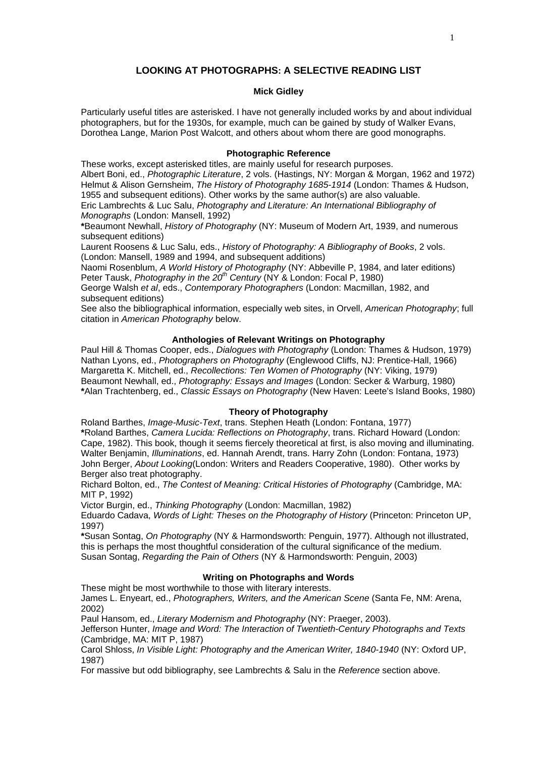## **LOOKING AT PHOTOGRAPHS: A SELECTIVE READING LIST**

### **Mick Gidley**

Particularly useful titles are asterisked. I have not generally included works by and about individual photographers, but for the 1930s, for example, much can be gained by study of Walker Evans, Dorothea Lange, Marion Post Walcott, and others about whom there are good monographs.

### **Photographic Reference**

These works, except asterisked titles, are mainly useful for research purposes. Albert Boni, ed., *Photographic Literature*, 2 vols. (Hastings, NY: Morgan & Morgan, 1962 and 1972) Helmut & Alison Gernsheim, *The History of Photography 1685-1914* (London: Thames & Hudson, 1955 and subsequent editions). Other works by the same author(s) are also valuable. Eric Lambrechts & Luc Salu, *Photography and Literature: An International Bibliography of* 

*Monographs* (London: Mansell, 1992) **\***Beaumont Newhall, *History of Photography* (NY: Museum of Modern Art, 1939, and numerous subsequent editions)

Laurent Roosens & Luc Salu, eds., *History of Photography: A Bibliography of Books*, 2 vols. (London: Mansell, 1989 and 1994, and subsequent additions)

Naomi Rosenblum, *A World History of Photography* (NY: Abbeville P, 1984, and later editions) Peter Tausk, *Photography in the 20<sup>th</sup> Century* (NY & London: Focal P, 1980)

George Walsh *et al*, eds., *Contemporary Photographers* (London: Macmillan, 1982, and subsequent editions)

See also the bibliographical information, especially web sites, in Orvell, *American Photography*; full citation in *American Photography* below.

### **Anthologies of Relevant Writings on Photography**

Paul Hill & Thomas Cooper, eds., *Dialogues with Photography* (London: Thames & Hudson, 1979) Nathan Lyons, ed., *Photographers on Photography* (Englewood Cliffs, NJ: Prentice-Hall, 1966) Margaretta K. Mitchell, ed., *Recollections: Ten Women of Photography* (NY: Viking, 1979) Beaumont Newhall, ed., *Photography: Essays and Images* (London: Secker & Warburg, 1980) **\***Alan Trachtenberg, ed., *Classic Essays on Photography* (New Haven: Leete's Island Books, 1980)

# **Theory of Photography**

Roland Barthes, *Image-Music-Text*, trans. Stephen Heath (London: Fontana, 1977) **\***Roland Barthes, *Camera Lucida: Reflections on Photography*, trans. Richard Howard (London: Cape, 1982). This book, though it seems fiercely theoretical at first, is also moving and illuminating. Walter Benjamin, *Illuminations*, ed. Hannah Arendt, trans. Harry Zohn (London: Fontana, 1973) John Berger, *About Looking*(London: Writers and Readers Cooperative, 1980). Other works by Berger also treat photography.

Richard Bolton, ed., *The Contest of Meaning: Critical Histories of Photography* (Cambridge, MA: MIT P, 1992)

Victor Burgin, ed., *Thinking Photography* (London: Macmillan, 1982)

Eduardo Cadava, *Words of Light: Theses on the Photography of History* (Princeton: Princeton UP, 1997)

**\***Susan Sontag, *On Photography* (NY & Harmondsworth: Penguin, 1977). Although not illustrated, this is perhaps the most thoughtful consideration of the cultural significance of the medium. Susan Sontag, *Regarding the Pain of Others* (NY & Harmondsworth: Penguin, 2003)

## **Writing on Photographs and Words**

These might be most worthwhile to those with literary interests. James L. Enyeart, ed., *Photographers, Writers, and the American Scene* (Santa Fe, NM: Arena,

2002)

Paul Hansom, ed., *Literary Modernism and Photography* (NY: Praeger, 2003).

Jefferson Hunter, *Image and Word: The Interaction of Twentieth-Century Photographs and Texts*  (Cambridge, MA: MIT P, 1987)

Carol Shloss, *In Visible Light: Photography and the American Writer, 1840-1940* (NY: Oxford UP, 1987)

For massive but odd bibliography, see Lambrechts & Salu in the *Reference* section above.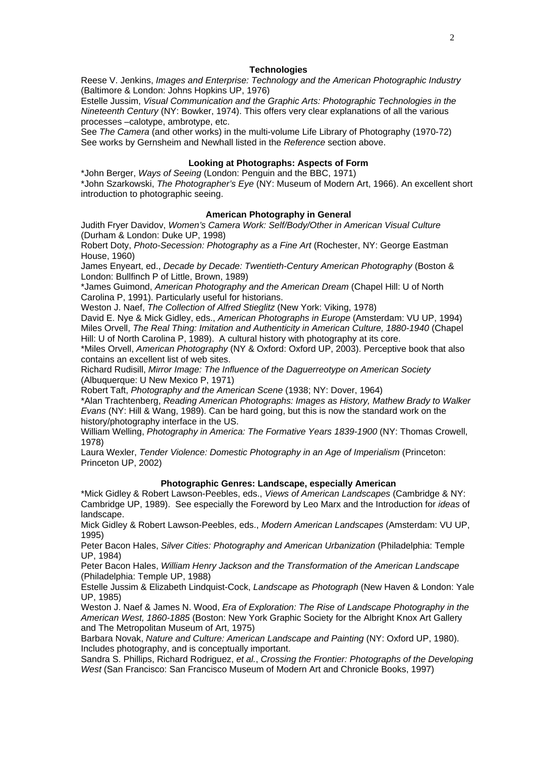#### **Technologies**

Reese V. Jenkins, *Images and Enterprise: Technology and the American Photographic Industry* (Baltimore & London: Johns Hopkins UP, 1976)

Estelle Jussim, *Visual Communication and the Graphic Arts: Photographic Technologies in the Nineteenth Century* (NY: Bowker, 1974). This offers very clear explanations of all the various processes –calotype, ambrotype, etc.

See *The Camera* (and other works) in the multi-volume Life Library of Photography (1970-72) See works by Gernsheim and Newhall listed in the *Reference* section above.

### **Looking at Photographs: Aspects of Form**

\*John Berger, *Ways of Seeing* (London: Penguin and the BBC, 1971) \*John Szarkowski, *The Photographer's Eye* (NY: Museum of Modern Art, 1966). An excellent short introduction to photographic seeing.

### **American Photography in General**

Judith Fryer Davidov, *Women's Camera Work: Self/Body/Other in American Visual Culture* (Durham & London: Duke UP, 1998)

Robert Doty, *Photo-Secession: Photography as a Fine Art* (Rochester, NY: George Eastman House, 1960)

James Enyeart, ed., *Decade by Decade: Twentieth-Century American Photography* (Boston & London: Bullfinch P of Little, Brown, 1989)

\*James Guimond, *American Photography and the American Dream* (Chapel Hill: U of North Carolina P, 1991). Particularly useful for historians.

Weston J. Naef, *The Collection of Alfred Stieglitz* (New York: Viking, 1978)

David E. Nye & Mick Gidley, eds., *American Photographs in Europe* (Amsterdam: VU UP, 1994) Miles Orvell, *The Real Thing: Imitation and Authenticity in American Culture, 1880-1940* (Chapel Hill: U of North Carolina P, 1989). A cultural history with photography at its core.

\*Miles Orvell, *American Photography* (NY & Oxford: Oxford UP, 2003). Perceptive book that also contains an excellent list of web sites.

Richard Rudisill, *Mirror Image: The Influence of the Daguerreotype on American Society* (Albuquerque: U New Mexico P, 1971)

Robert Taft, *Photography and the American Scene* (1938; NY: Dover, 1964)

\*Alan Trachtenberg, *Reading American Photographs: Images as History, Mathew Brady to Walker Evans* (NY: Hill & Wang, 1989). Can be hard going, but this is now the standard work on the history/photography interface in the US.

William Welling, *Photography in America: The Formative Years 1839-1900* (NY: Thomas Crowell, 1978)

Laura Wexler, *Tender Violence: Domestic Photography in an Age of Imperialism* (Princeton: Princeton UP, 2002)

#### **Photographic Genres: Landscape, especially American**

\*Mick Gidley & Robert Lawson-Peebles, eds., *Views of American Landscapes* (Cambridge & NY: Cambridge UP, 1989). See especially the Foreword by Leo Marx and the Introduction for *ideas* of landscape.

Mick Gidley & Robert Lawson-Peebles, eds., *Modern American Landscapes* (Amsterdam: VU UP, 1995)

Peter Bacon Hales, *Silver Cities: Photography and American Urbanization* (Philadelphia: Temple UP, 1984)

Peter Bacon Hales, *William Henry Jackson and the Transformation of the American Landscape* (Philadelphia: Temple UP, 1988)

Estelle Jussim & Elizabeth Lindquist-Cock, *Landscape as Photograph* (New Haven & London: Yale UP, 1985)

Weston J. Naef & James N. Wood, *Era of Exploration: The Rise of Landscape Photography in the American West, 1860-1885* (Boston: New York Graphic Society for the Albright Knox Art Gallery and The Metropolitan Museum of Art, 1975)

Barbara Novak, *Nature and Culture: American Landscape and Painting* (NY: Oxford UP, 1980). Includes photography, and is conceptually important.

Sandra S. Phillips, Richard Rodriguez, *et al.*, *Crossing the Frontier: Photographs of the Developing West* (San Francisco: San Francisco Museum of Modern Art and Chronicle Books, 1997)